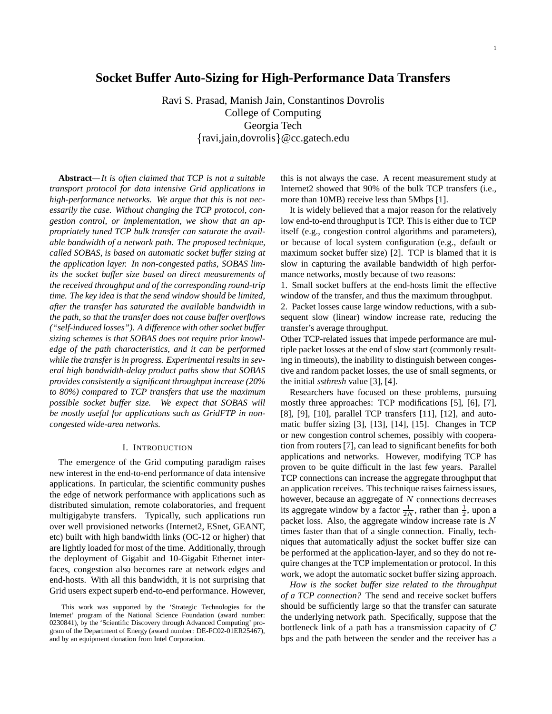# **Socket Buffer Auto-Sizing for High-Performance Data Transfers**

Ravi S. Prasad, Manish Jain, Constantinos Dovrolis College of Computing Georgia Tech ravi,jain,dovrolis @cc.gatech.edu

**Abstract***—It is often claimed that TCP is not a suitable transport protocol for data intensive Grid applications in high-performance networks. We argue that this is not necessarily the case. Without changing the TCP protocol, congestion control, or implementation, we show that an appropriately tuned TCP bulk transfer can saturate the available bandwidth of a network path. The proposed technique, called SOBAS, is based on automatic socket buffer sizing at the application layer. In non-congested paths, SOBAS limits the socket buffer size based on direct measurements of the received throughput and of the corresponding round-trip time. The key idea is that the send window should be limited, after the transfer has saturated the available bandwidth in the path, so that the transfer does not cause buffer overflows ("self-induced losses"). A difference with other socket buffer sizing schemes is that SOBAS does not require prior knowledge of the path characteristics, and it can be performed while the transfer is in progress. Experimental results in several high bandwidth-delay product paths show that SOBAS provides consistently a significant throughput increase (20% to 80%) compared to TCP transfers that use the maximum possible socket buffer size. We expect that SOBAS will be mostly useful for applications such as GridFTP in noncongested wide-area networks.*

## I. INTRODUCTION

The emergence of the Grid computing paradigm raises new interest in the end-to-end performance of data intensive applications. In particular, the scientific community pushes the edge of network performance with applications such as distributed simulation, remote colaboratories, and frequent multigigabyte transfers. Typically, such applications run over well provisioned networks (Internet2, ESnet, GEANT, etc) built with high bandwidth links (OC-12 or higher) that are lightly loaded for most of the time. Additionally, through the deployment of Gigabit and 10-Gigabit Ethernet interfaces, congestion also becomes rare at network edges and end-hosts. With all this bandwidth, it is not surprising that Grid users expect superb end-to-end performance. However,

this is not always the case. A recent measurement study at Internet2 showed that 90% of the bulk TCP transfers (i.e., more than 10MB) receive less than 5Mbps [1].

It is widely believed that a major reason for the relatively low end-to-end throughput is TCP. This is either due to TCP itself (e.g., congestion control algorithms and parameters), or because of local system configuration (e.g., default or maximum socket buffer size) [2]. TCP is blamed that it is slow in capturing the available bandwidth of high performance networks, mostly because of two reasons:

1. Small socket buffers at the end-hosts limit the effective window of the transfer, and thus the maximum throughput. 2. Packet losses cause large window reductions, with a sub-

sequent slow (linear) window increase rate, reducing the transfer's average throughput.

Other TCP-related issues that impede performance are multiple packet losses at the end of slow start (commonly resulting in timeouts), the inability to distinguish between congestive and random packet losses, the use of small segments, or the initial *ssthresh* value [3], [4].

Researchers have focused on these problems, pursuing mostly three approaches: TCP modifications [5], [6], [7], [8], [9], [10], parallel TCP transfers [11], [12], and automatic buffer sizing [3], [13], [14], [15]. Changes in TCP or new congestion control schemes, possibly with cooperation from routers [7], can lead to significant benefits for both applications and networks. However, modifying TCP has proven to be quite difficult in the last few years. Parallel TCP connections can increase the aggregate throughput that an application receives. This technique raises fairness issues, however, because an aggregate of  $N$  connections decreases its aggregate window by a factor  $\frac{1}{2N}$ , rather than  $\frac{1}{2}$ , upon a packet loss. Also, the aggregate window increase rate is  $N$ times faster than that of a single connection. Finally, techniques that automatically adjust the socket buffer size can be performed at the application-layer, and so they do not require changes at the TCP implementation or protocol. In this work, we adopt the automatic socket buffer sizing approach.

*How is the socket buffer size related to the throughput of a TCP connection?* The send and receive socket buffers should be sufficiently large so that the transfer can saturate the underlying network path. Specifically, suppose that the bottleneck link of a path has a transmission capacity of  $C$ bps and the path between the sender and the receiver has a

This work was supported by the 'Strategic Technologies for the Internet' program of the National Science Foundation (award number: 0230841), by the 'Scientific Discovery through Advanced Computing' program of the Department of Energy (award number: DE-FC02-01ER25467), and by an equipment donation from Intel Corporation.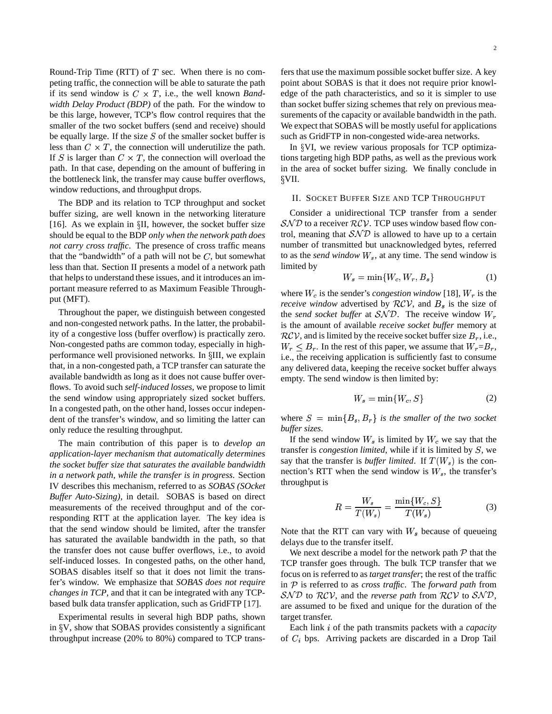Round-Trip Time (RTT) of  $T$  sec. When there is no competing traffic, the connection will be able to saturate the path if its send window is  $C \times T$ , i.e., the well known *Bandwidth Delay Product (BDP)* of the path. For the window to be this large, however, TCP's flow control requires that the smaller of the two socket buffers (send and receive) should be equally large. If the size  $S$  of the smaller socket buffer is less than  $C \times T$ , the connection will underutilize the path. If S is larger than  $C \times T$ , the connection will overload the path. In that case, depending on the amount of buffering in the bottleneck link, the transfer may cause buffer overflows, window reductions, and throughput drops.

The BDP and its relation to TCP throughput and socket buffer sizing, are well known in the networking literature [16]. As we explain in  $\S$ II, however, the socket buffer size should be equal to the BDP *only when the network path does not carry cross traffic*. The presence of cross traffic means that the "bandwidth" of a path will not be  $C$ , but somewhat less than that. Section II presents a model of a network path that helps to understand these issues, and it introduces an important measure referred to as Maximum Feasible Throughput (MFT).

Throughout the paper, we distinguish between congested and non-congested network paths. In the latter, the probability of a congestive loss (buffer overflow) is practically zero. Non-congested paths are common today, especially in highperformance well provisioned networks. In §III, we explain that, in a non-congested path, a TCP transfer can saturate the available bandwidth as long as it does not cause buffer overflows. To avoid such *self-induced losses*, we propose to limit the send window using appropriately sized socket buffers. In a congested path, on the other hand, losses occur independent of the transfer's window, and so limiting the latter can only reduce the resulting throughput.

The main contribution of this paper is to *develop an application-layer mechanism that automatically determines the socket buffer size that saturates the available bandwidth in a network path, while the transfer is in progress*. Section IV describes this mechanism, referred to as *SOBAS (SOcket Buffer Auto-Sizing)*, in detail. SOBAS is based on direct measurements of the received throughput and of the corresponding RTT at the application layer. The key idea is that the send window should be limited, after the transfer has saturated the available bandwidth in the path, so that the transfer does not cause buffer overflows, i.e., to avoid self-induced losses. In congested paths, on the other hand, SOBAS disables itself so that it does not limit the transfer's window. We emphasize that *SOBAS does not require changes in TCP*, and that it can be integrated with any TCPbased bulk data transfer application, such as GridFTP [17].

Experimental results in several high BDP paths, shown in  $\gamma$ , show that SOBAS provides consistently a significant throughput increase (20% to 80%) compared to TCP transfers that use the maximum possible socket buffer size. A key point about SOBAS is that it does not require prior knowledge of the path characteristics, and so it is simpler to use than socket buffer sizing schemes that rely on previous measurements of the capacity or available bandwidth in the path. We expect that SOBAS will be mostly useful for applications such as GridFTP in non-congested wide-area networks.

In  $\gamma$ VI, we review various proposals for TCP optimizations targeting high BDP paths, as well as the previous work in the area of socket buffer sizing. We finally conclude in VII.

## II. SOCKET BUFFER SIZE AND TCP THROUGHPUT

Consider a unidirectional TCP transfer from a sender  $SND$  to a receiver  $RCV$ . TCP uses window based flow control, meaning that  $\mathcal{SND}$  is allowed to have up to a certain number of transmitted but unacknowledged bytes, referred to as the *send* window  $W_s$ , at any time. The send window is limited by

$$
W_s = \min\{W_c, W_r, B_s\} \tag{1}
$$

where  $W_c$  is the sender's *congestion* window [18],  $W_r$  is the *receive window* advertised by  $RCV$ , and  $B_s$  is the size of the *send socket buffer* at  $SND$ . The receive window  $W_r$ is the amount of available *receive socket buffer* memory at  $RCV$ , and is limited by the receive socket buffer size  $B<sub>r</sub>$ , i.e.,  $W_r \leq B_r$ . In the rest of this paper, we assume that  $W_r = B_r$ , i.e., the receiving application is sufficiently fast to consume any delivered data, keeping the receive socket buffer always empty. The send window is then limited by:

$$
W_s = \min\{W_c, S\} \tag{2}
$$

where  $S = \min\{B_s, B_r\}$  is the smaller of the two socket *buffer sizes*.

If the send window  $W_s$  is limited by  $W_c$  we say that the transfer is *congestion limited*, while if it is limited by  $S$ , we say that the transfer is *buffer limited*. If  $T(W_s)$  is the connection's RTT when the send window is  $W_s$ , the transfer's throughput is

$$
R = \frac{W_s}{T(W_s)} = \frac{\min\{W_c, S\}}{T(W_s)}
$$
(3)

Note that the RTT can vary with  $W_s$  because of queueing delays due to the transfer itself.

We next describe a model for the network path  $P$  that the TCP transfer goes through. The bulk TCP transfer that we focus on is referred to as *target transfer*; the rest of the traffic in  $P$  is referred to as *cross traffic*. The *forward path* from  $\mathcal{SND}$  to  $\mathcal{RCV}$ , and the *reverse path* from  $\mathcal{RCV}$  to  $\mathcal{SND}$ , are assumed to be fixed and unique for the duration of the target transfer.

Each link *i* of the path transmits packets with a *capacity* of  $C_i$  bps. Arriving packets are discarded in a Drop Tail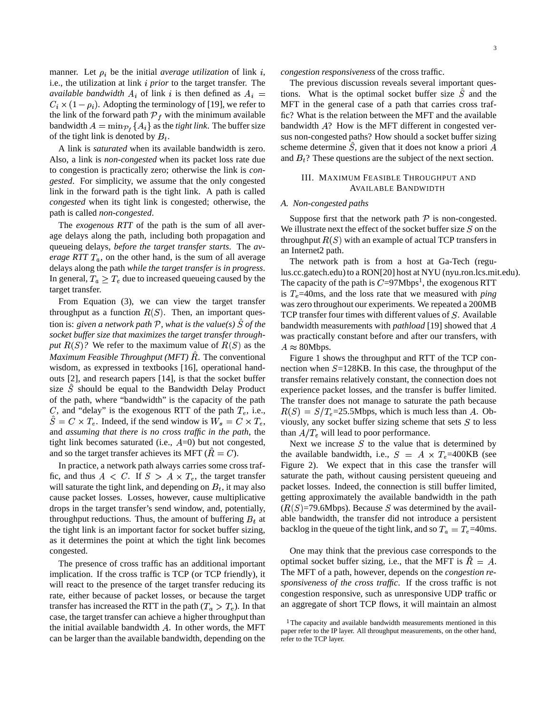manner. Let  $\rho_i$  be the initial *average utilization* of link i, i.e., the utilization at link *i prior* to the target transfer. The *available bandwidth*  $A_i$  of link i is then defined as  $A_i$  =  $C_i \times (1 - \rho_i)$ . Adopting the terminology of [19], we refer to the link of the forward path  $\mathcal{P}_f$  with the minimum available bandwidth  $A = \min_{P_t} \{A_i\}$  as the *tight link*. The buffer size of the tight link is denoted by  $B_t$ .

A link is *saturated* when its available bandwidth is zero. Also, a link is *non-congested* when its packet loss rate due to congestion is practically zero; otherwise the link is *congested*. For simplicity, we assume that the only congested link in the forward path is the tight link. A path is called *congested* when its tight link is congested; otherwise, the path is called *non-congested*.

The *exogenous RTT* of the path is the sum of all average delays along the path, including both propagation and queueing delays, *before the target transfer starts*. The *average*  $RTT T_a$ , on the other hand, is the sum of all average delays along the path *while the target transfer is in progress*. In general,  $T_a \geq T_e$  due to increased queueing caused by the target transfer.

From Equation (3), we can view the target transfer throughput as a function  $R(S)$ . Then, an important ques- $\frac{1}{2}$  *tion is: given a network path*  $P$ *, what is the value(s)*  $S$  *of the socket buffer size that maximizes the target transfer throughput*  $R(S)$ ? We refer to the maximum value of  $R(S)$  as the  $A$ *Maximum Feasible Throughput (MFT) R. The conventional* wisdom, as expressed in textbooks [16], operational handouts [2], and research papers [14], is that the socket buffer size  $\hat{S}$  should be equal to the Bandwidth Delay Product of the path, where "bandwidth" is the capacity of the path C, and "delay" is the exogenous RTT of the path  $T_e$ , i.e.,  $\hat{S} = C \times T_e$ . Indeed, if the send window is  $W_s = C \times T_e$ , and *assuming that there is no cross traffic in the path*, the tight link becomes saturated (i.e.,  $A=0$ ) but not congested, and so the target transfer achieves its MFT ( $\ddot{R} = C$ ).

In practice, a network path always carries some cross traffic, and thus  $A \leq C$ . If  $S \geq A \times T_e$ , the target transfer will saturate the tight link, and depending on  $B_t$ , it may also cause packet losses. Losses, however, cause multiplicative drops in the target transfer's send window, and, potentially, throughput reductions. Thus, the amount of buffering  $B_t$  at the tight link is an important factor for socket buffer sizing, as it determines the point at which the tight link becomes congested.

The presence of cross traffic has an additional important implication. If the cross traffic is TCP (or TCP friendly), it will react to the presence of the target transfer reducing its rate, either because of packet losses, or because the target transfer has increased the RTT in the path  $(T_a > T_e)$ . In that case, the target transfer can achieve a higher throughput than the initial available bandwidth  $A$ . In other words, the MFT can be larger than the available bandwidth, depending on the

*congestion responsiveness* of the cross traffic.

The previous discussion reveals several important questions. What is the optimal socket buffer size  $\hat{S}$  and the MFT in the general case of a path that carries cross traffic? What is the relation between the MFT and the available bandwidth  $A$ ? How is the MFT different in congested versus non-congested paths? How should a socket buffer sizing scheme determine  $\hat{S}$ , given that it does not know a priori A and  $B_t$ ? These questions are the subject of the next section.

## III. MAXIMUM FEASIBLE THROUGHPUT AND AVAILABLE BANDWIDTH

## *A. Non-congested paths*

Suppose first that the network path  $P$  is non-congested. We illustrate next the effect of the socket buffer size  $S$  on the throughput  $R(S)$  with an example of actual TCP transfers in an Internet2 path.

The network path is from a host at Ga-Tech (regulus.cc.gatech.edu) to a RON[20] host at NYU (nyu.ron.lcs.mit.edu). The capacity of the path is  $C=97$ Mbps<sup>1</sup>, the exogenous RTT is  $T_e$ =40ms, and the loss rate that we measured with *ping* was zero throughout our experiments. We repeated a 200MB TCP transfer four times with different values of  $S$ . Available bandwidth measurements with *pathload* [19] showed that was practically constant before and after our transfers, with  $A \approx 80$ Mbps.

Figure 1 shows the throughput and RTT of the TCP connection when  $S=128KB$ . In this case, the throughput of the transfer remains relatively constant, the connection does not experience packet losses, and the transfer is buffer limited. The transfer does not manage to saturate the path because  $R(S) = S/T_e = 25.5$ Mbps, which is much less than A. Obviously, any socket buffer sizing scheme that sets  $S$  to less than  $A/T_e$  will lead to poor performance.

Next we increase  $S$  to the value that is determined by the available bandwidth, i.e.,  $S = A \times T_e = 400KB$  (see Figure 2). We expect that in this case the transfer will saturate the path, without causing persistent queueing and packet losses. Indeed, the connection is still buffer limited, getting approximately the available bandwidth in the path  $(R(S)=79.6$ Mbps). Because S was determined by the available bandwidth, the transfer did not introduce a persistent backlog in the queue of the tight link, and so  $T_a = T_e = 40$ ms.

One may think that the previous case corresponds to the optimal socket buffer sizing, i.e., that the MFT is  $R = A$ . The MFT of a path, however, depends on the *congestion responsiveness of the cross traffic*. If the cross traffic is not congestion responsive, such as unresponsive UDP traffic or an aggregate of short TCP flows, it will maintain an almost

<sup>&</sup>lt;sup>1</sup>The capacity and available bandwidth measurements mentioned in this paper refer to the IP layer. All throughput measurements, on the other hand, refer to the TCP layer.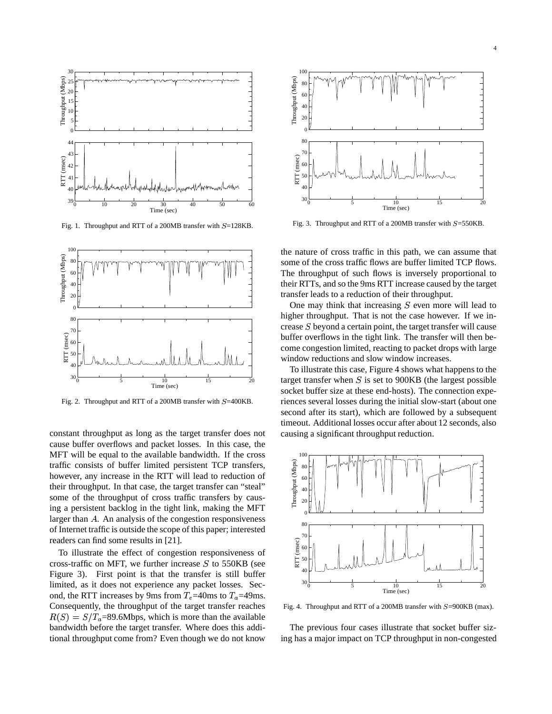

Fig. 1. Throughput and RTT of a 200MB transfer with  $S=128KB$ .



Fig. 2. Throughput and RTT of a 200MB transfer with  $S=400KB$ .

constant throughput as long as the target transfer does not cause buffer overflows and packet losses. In this case, the MFT will be equal to the available bandwidth. If the cross traffic consists of buffer limited persistent TCP transfers, however, any increase in the RTT will lead to reduction of their throughput. In that case, the target transfer can "steal" some of the throughput of cross traffic transfers by causing a persistent backlog in the tight link, making the MFT larger than  $A$ . An analysis of the congestion responsiveness of Internet traffic is outside the scope of this paper; interested readers can find some results in [21].

To illustrate the effect of congestion responsiveness of cross-traffic on MFT, we further increase  $S$  to 550KB (see Figure 3). First point is that the transfer is still buffer limited, as it does not experience any packet losses. Second, the RTT increases by 9ms from  $T_e$ =40ms to  $T_a$ =49ms. Consequently, the throughput of the target transfer reaches  $R(S) = S/T_a = 89.6$ Mbps, which is more than the available bandwidth before the target transfer. Where does this additional throughput come from? Even though we do not know



Fig. 3. Throughput and RTT of a 200MB transfer with  $S=550KB$ .

the nature of cross traffic in this path, we can assume that some of the cross traffic flows are buffer limited TCP flows. The throughput of such flows is inversely proportional to their RTTs, and so the 9ms RTT increase caused by the target transfer leads to a reduction of their throughput.

One may think that increasing  $S$  even more will lead to higher throughput. That is not the case however. If we increase  $S$  beyond a certain point, the target transfer will cause buffer overflows in the tight link. The transfer will then become congestion limited, reacting to packet drops with large window reductions and slow window increases.

To illustrate this case, Figure 4 shows what happens to the target transfer when  $S$  is set to 900KB (the largest possible socket buffer size at these end-hosts). The connection experiences several losses during the initial slow-start (about one second after its start), which are followed by a subsequent timeout. Additional losses occur after about 12 seconds, also causing a significant throughput reduction.



Fig. 4. Throughput and RTT of a 200MB transfer with  $S=900KB$  (max).

The previous four cases illustrate that socket buffer sizing has a major impact on TCP throughput in non-congested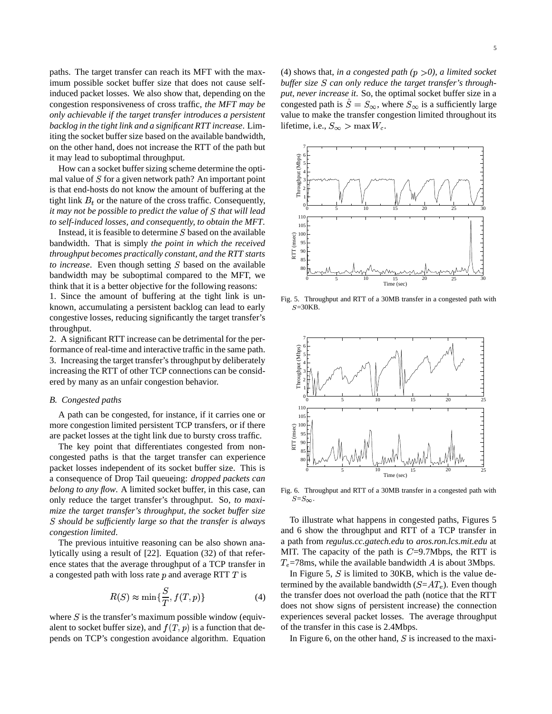paths. The target transfer can reach its MFT with the maximum possible socket buffer size that does not cause selfinduced packet losses. We also show that, depending on the congestion responsiveness of cross traffic, *the MFT may be only achievable if the target transfer introduces a persistent backlog in the tight link and a significant RTT increase*. Limiting the socket buffer size based on the available bandwidth, on the other hand, does not increase the RTT of the path but it may lead to suboptimal throughput.

How can a socket buffer sizing scheme determine the optimal value of  $S$  for a given network path? An important point is that end-hosts do not know the amount of buffering at the tight link  $B_t$  or the nature of the cross traffic. Consequently, *it may not be possible to predict the value of that will lead to self-induced losses, and consequently, to obtain the MFT*.

Instead, it is feasible to determine  $S$  based on the available bandwidth. That is simply *the point in which the received throughput becomes practically constant, and the RTT starts to increase*. Even though setting S based on the available bandwidth may be suboptimal compared to the MFT, we think that it is a better objective for the following reasons:

1. Since the amount of buffering at the tight link is unknown, accumulating a persistent backlog can lead to early congestive losses, reducing significantly the target transfer's throughput.

2. A significant RTT increase can be detrimental for the performance of real-time and interactive traffic in the same path. 3. Increasing the target transfer's throughput by deliberately increasing the RTT of other TCP connections can be considered by many as an unfair congestion behavior.

## *B. Congested paths*

A path can be congested, for instance, if it carries one or more congestion limited persistent TCP transfers, or if there are packet losses at the tight link due to bursty cross traffic.

The key point that differentiates congested from noncongested paths is that the target transfer can experience packet losses independent of its socket buffer size. This is a consequence of Drop Tail queueing: *dropped packets can belong to any flow*. A limited socket buffer, in this case, can only reduce the target transfer's throughput. So, *to maximize the target transfer's throughput, the socket buffer size should be sufficiently large so that the transfer is always congestion limited*.

The previous intuitive reasoning can be also shown analytically using a result of [22]. Equation (32) of that reference states that the average throughput of a TCP transfer in a congested path with loss rate  $p$  and average RTT  $T$  is

$$
R(S) \approx \min\{\frac{S}{T}, f(T, p)\}\tag{4}
$$

where  $S$  is the transfer's maximum possible window (equivalent to socket buffer size), and  $f(T, p)$  is a function that depends on TCP's congestion avoidance algorithm. Equation

(4) shows that, *in a congested path*  $(p > 0)$ , *a limited socket buffer size can only reduce the target transfer's throughput, never increase it*. So, the optimal socket buffer size in a congested path is  $\hat{S} = S_{\infty}$ , where  $S_{\infty}$  is a sufficiently large value to make the transfer congestion limited throughout its lifetime, i.e.,  $S_{\infty} > \max W_c$ .



Fig. 5. Throughput and RTT of a 30MB transfer in a congested path with  $S=30KB$ .



Fig. 6. Throughput and RTT of a 30MB transfer in a congested path with  $S = S_{\infty}$ 

To illustrate what happens in congested paths, Figures 5 and 6 show the throughput and RTT of a TCP transfer in a path from *regulus.cc.gatech.edu* to *aros.ron.lcs.mit.edu* at MIT. The capacity of the path is  $C=9.7$ Mbps, the RTT is  $T_e$ =78ms, while the available bandwidth A is about 3Mbps.

In Figure 5,  $S$  is limited to 30KB, which is the value determined by the available bandwidth  $(S = AT_e)$ . Even though the transfer does not overload the path (notice that the RTT does not show signs of persistent increase) the connection experiences several packet losses. The average throughput of the transfer in this case is 2.4Mbps.

In Figure 6, on the other hand,  $S$  is increased to the maxi-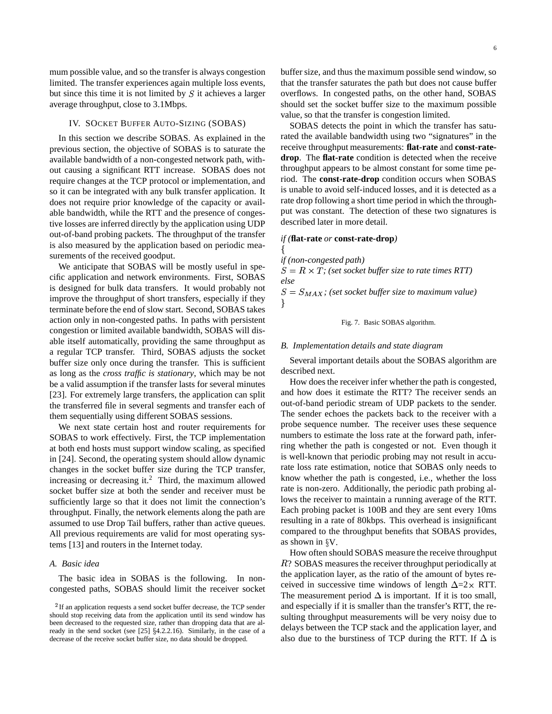mum possible value, and so the transfer is always congestion limited. The transfer experiences again multiple loss events, but since this time it is not limited by  $S$  it achieves a larger average throughput, close to 3.1Mbps.

### IV. SOCKET BUFFER AUTO-SIZING (SOBAS)

In this section we describe SOBAS. As explained in the previous section, the objective of SOBAS is to saturate the available bandwidth of a non-congested network path, without causing a significant RTT increase. SOBAS does not require changes at the TCP protocol or implementation, and so it can be integrated with any bulk transfer application. It does not require prior knowledge of the capacity or available bandwidth, while the RTT and the presence of congestive losses are inferred directly by the application using UDP out-of-band probing packets. The throughput of the transfer is also measured by the application based on periodic measurements of the received goodput.

We anticipate that SOBAS will be mostly useful in specific application and network environments. First, SOBAS is designed for bulk data transfers. It would probably not improve the throughput of short transfers, especially if they terminate before the end of slow start. Second, SOBAS takes action only in non-congested paths. In paths with persistent congestion or limited available bandwidth, SOBAS will disable itself automatically, providing the same throughput as a regular TCP transfer. Third, SOBAS adjusts the socket buffer size only once during the transfer. This is sufficient as long as the *cross traffic is stationary*, which may be not be a valid assumption if the transfer lasts for several minutes [23]. For extremely large transfers, the application can split the transferred file in several segments and transfer each of them sequentially using different SOBAS sessions.

We next state certain host and router requirements for SOBAS to work effectively. First, the TCP implementation at both end hosts must support window scaling, as specified in [24]. Second, the operating system should allow dynamic changes in the socket buffer size during the TCP transfer, increasing or decreasing it.<sup>2</sup> Third, the maximum allowed socket buffer size at both the sender and receiver must be sufficiently large so that it does not limit the connection's throughput. Finally, the network elements along the path are assumed to use Drop Tail buffers, rather than active queues. All previous requirements are valid for most operating systems [13] and routers in the Internet today.

## *A. Basic idea*

The basic idea in SOBAS is the following. In noncongested paths, SOBAS should limit the receiver socket buffer size, and thus the maximum possible send window, so that the transfer saturates the path but does not cause buffer overflows. In congested paths, on the other hand, SOBAS should set the socket buffer size to the maximum possible value, so that the transfer is congestion limited.

SOBAS detects the point in which the transfer has saturated the available bandwidth using two "signatures" in the receive throughput measurements: **flat-rate** and **const-ratedrop**. The **flat-rate** condition is detected when the receive throughput appears to be almost constant for some time period. The **const-rate-drop** condition occurs when SOBAS is unable to avoid self-induced losses, and it is detected as a rate drop following a short time period in which the throughput was constant. The detection of these two signatures is described later in more detail.

#### *if (***flat-rate** *or* **const-rate-drop***)*

*if (non-congested path)*

the contract of the contract of the contract of the contract of the contract of

 $S = R \times T$ ; (set socket buffer size to rate times RTT) *else*

 $S = S_{MAX}$ ; (set socket buffer size to maximum value) , and the contract of the contract of the contract of the contract of the contract of the contract of the contract of the contract of the contract of the contract of the contract of the contract of the contract of the con

#### Fig. 7. Basic SOBAS algorithm.

## *B. Implementation details and state diagram*

Several important details about the SOBAS algorithm are described next.

How does the receiver infer whether the path is congested, and how does it estimate the RTT? The receiver sends an out-of-band periodic stream of UDP packets to the sender. The sender echoes the packets back to the receiver with a probe sequence number. The receiver uses these sequence numbers to estimate the loss rate at the forward path, inferring whether the path is congested or not. Even though it is well-known that periodic probing may not result in accurate loss rate estimation, notice that SOBAS only needs to know whether the path is congested, i.e., whether the loss rate is non-zero. Additionally, the periodic path probing allows the receiver to maintain a running average of the RTT. Each probing packet is 100B and they are sent every 10ms resulting in a rate of 80kbps. This overhead is insignificant compared to the throughput benefits that SOBAS provides, as shown in  $\gamma V$ .

How often should SOBAS measure the receive throughput R? SOBAS measures the receiver throughput periodically at the application layer, as the ratio of the amount of bytes received in successive time windows of length  $\Delta=2 \times RTT$ . The measurement period  $\Delta$  is important. If it is too small, and especially if it is smaller than the transfer's RTT, the resulting throughput measurements will be very noisy due to delays between the TCP stack and the application layer, and also due to the burstiness of TCP during the RTT. If  $\Delta$  is

 $2$ If an application requests a send socket buffer decrease, the TCP sender should stop receiving data from the application until its send window has been decreased to the requested size, rather than dropping data that are already in the send socket (see [25] 4.2.2.16). Similarly, in the case of a decrease of the receive socket buffer size, no data should be dropped.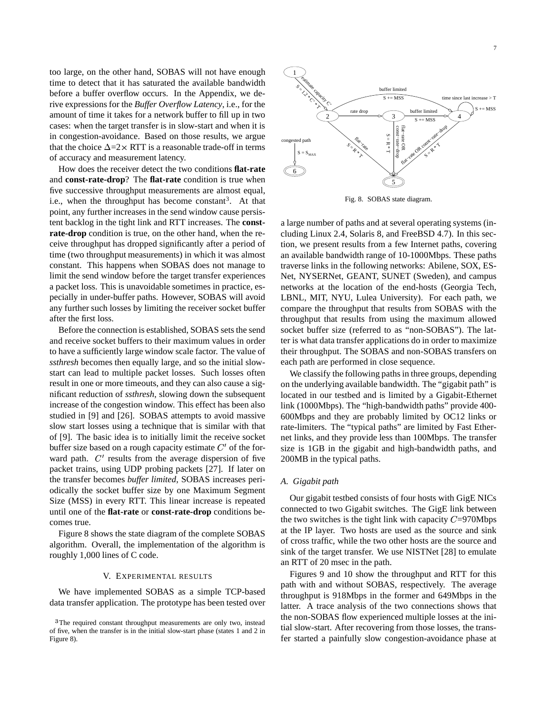too large, on the other hand, SOBAS will not have enough time to detect that it has saturated the available bandwidth before a buffer overflow occurs. In the Appendix, we derive expressions for the *Buffer Overflow Latency*, i.e., for the amount of time it takes for a network buffer to fill up in two cases: when the target transfer is in slow-start and when it is in congestion-avoidance. Based on those results, we argue that the choice  $\Delta = 2 \times RTT$  is a reasonable trade-off in terms of accuracy and measurement latency.

How does the receiver detect the two conditions **flat-rate** and **const-rate-drop**? The **flat-rate** condition is true when five successive throughput measurements are almost equal, i.e., when the throughput has become constant<sup>3</sup>. At that point, any further increases in the send window cause persistent backlog in the tight link and RTT increases. The **constrate-drop** condition is true, on the other hand, when the receive throughput has dropped significantly after a period of time (two throughput measurements) in which it was almost constant. This happens when SOBAS does not manage to limit the send window before the target transfer experiences a packet loss. This is unavoidable sometimes in practice, especially in under-buffer paths. However, SOBAS will avoid any further such losses by limiting the receiver socket buffer after the first loss.

Before the connection is established, SOBAS sets the send and receive socket buffers to their maximum values in order to have a sufficiently large window scale factor. The value of *ssthresh* becomes then equally large, and so the initial slowstart can lead to multiple packet losses. Such losses often result in one or more timeouts, and they can also cause a significant reduction of *ssthresh*, slowing down the subsequent increase of the congestion window. This effect has been also studied in [9] and [26]. SOBAS attempts to avoid massive slow start losses using a technique that is similar with that of [9]. The basic idea is to initially limit the receive socket buffer size based on a rough capacity estimate  $C<sup>t</sup>$  of the forward path.  $C'$  results from the average dispersion of five packet trains, using UDP probing packets [27]. If later on the transfer becomes *buffer limited*, SOBAS increases periodically the socket buffer size by one Maximum Segment Size (MSS) in every RTT. This linear increase is repeated until one of the **flat-rate** or **const-rate-drop** conditions becomes true.

Figure 8 shows the state diagram of the complete SOBAS algorithm. Overall, the implementation of the algorithm is roughly 1,000 lines of C code.

### V. EXPERIMENTAL RESULTS

We have implemented SOBAS as a simple TCP-based data transfer application. The prototype has been tested over



Fig. 8. SOBAS state diagram.

a large number of paths and at several operating systems (including Linux 2.4, Solaris 8, and FreeBSD 4.7). In this section, we present results from a few Internet paths, covering an available bandwidth range of 10-1000Mbps. These paths traverse links in the following networks: Abilene, SOX, ES-Net, NYSERNet, GEANT, SUNET (Sweden), and campus networks at the location of the end-hosts (Georgia Tech, LBNL, MIT, NYU, Lulea University). For each path, we compare the throughput that results from SOBAS with the throughput that results from using the maximum allowed socket buffer size (referred to as "non-SOBAS"). The latter is what data transfer applications do in order to maximize their throughput. The SOBAS and non-SOBAS transfers on each path are performed in close sequence.

We classify the following paths in three groups, depending on the underlying available bandwidth. The "gigabit path" is located in our testbed and is limited by a Gigabit-Ethernet link (1000Mbps). The "high-bandwidth paths" provide 400- 600Mbps and they are probably limited by OC12 links or rate-limiters. The "typical paths" are limited by Fast Ethernet links, and they provide less than 100Mbps. The transfer size is 1GB in the gigabit and high-bandwidth paths, and 200MB in the typical paths.

## *A. Gigabit path*

Our gigabit testbed consists of four hosts with GigE NICs connected to two Gigabit switches. The GigE link between the two switches is the tight link with capacity  $C=970$ Mbps at the IP layer. Two hosts are used as the source and sink of cross traffic, while the two other hosts are the source and sink of the target transfer. We use NISTNet [28] to emulate an RTT of 20 msec in the path.

Figures 9 and 10 show the throughput and RTT for this path with and without SOBAS, respectively. The average throughput is 918Mbps in the former and 649Mbps in the latter. A trace analysis of the two connections shows that the non-SOBAS flow experienced multiple losses at the initial slow-start. After recovering from those losses, the transfer started a painfully slow congestion-avoidance phase at

<sup>&</sup>lt;sup>3</sup>The required constant throughput measurements are only two, instead of five, when the transfer is in the initial slow-start phase (states 1 and 2 in Figure 8).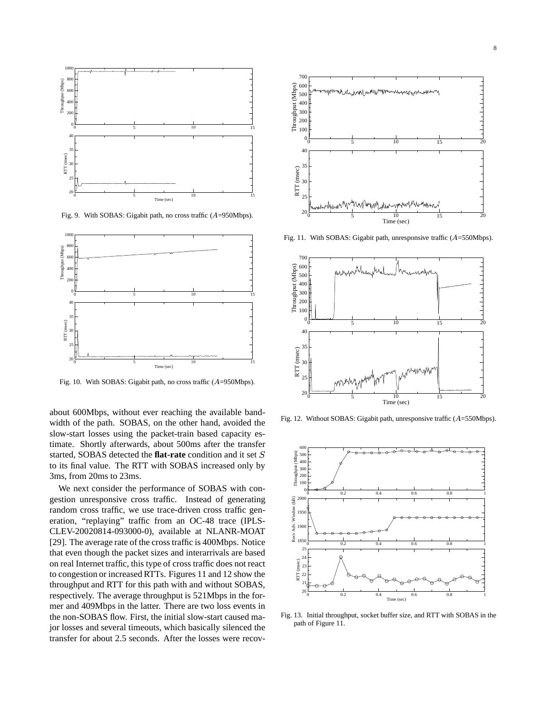

Fig. 9. With SOBAS: Gigabit path, no cross traffic  $(A=950 \text{Mbps})$ .



Fig. 10. With SOBAS: Gigabit path, no cross traffic (A=950Mbps).

about 600Mbps, without ever reaching the available bandwidth of the path. SOBAS, on the other hand, avoided the slow-start losses using the packet-train based capacity estimate. Shortly afterwards, about 500ms after the transfer started, SOBAS detected the **flat-rate** condition and it set  $S = \frac{2}{5}$ to its final value. The RTT with SOBAS increased only by 3ms, from 20ms to 23ms.

We next consider the performance of SOBAS with congestion unresponsive cross traffic. Instead of generating random cross traffic, we use trace-driven cross traffic generation, "replaying" traffic from an OC-48 trace (IPLS-CLEV-20020814-093000-0), available at NLANR-MOAT [29]. The average rate of the cross traffic is 400Mbps. Notice that even though the packet sizes and interarrivals are based on real Internet traffic, this type of cross traffic does not react to congestion or increased RTTs. Figures 11 and 12 show the throughput and RTT for this path with and without SOBAS, respectively. The average throughput is 521Mbps in the former and 409Mbps in the latter. There are two loss events in the non-SOBAS flow. First, the initial slow-start caused major losses and several timeouts, which basically silenced the transfer for about 2.5 seconds. After the losses were recov-



Fig. 11. With SOBAS: Gigabit path, unresponsive traffic  $(A=550Mbps)$ .



Fig. 12. Without SOBAS: Gigabit path, unresponsive traffic (A=550Mbps).



Fig. 13. Initial throughput, socket buffer size, and RTT with SOBAS in the path of Figure 11.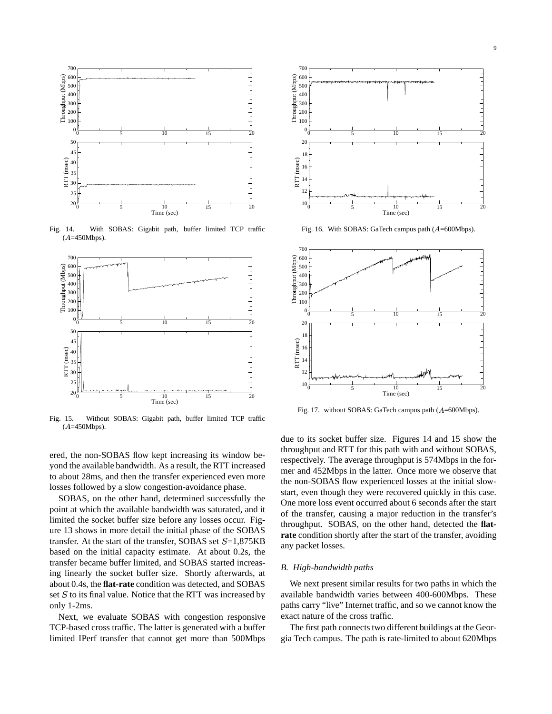

Fig. 14. With SOBAS: Gigabit path, buffer limited TCP traffic (*A*=450Mbps).



Fig. 15. Without SOBAS: Gigabit path, buffer limited TCP traffic (*A*=450Mbps).

ered, the non-SOBAS flow kept increasing its window beyond the available bandwidth. As a result, the RTT increased to about 28ms, and then the transfer experienced even more losses followed by a slow congestion-avoidance phase.

SOBAS, on the other hand, determined successfully the point at which the available bandwidth was saturated, and it limited the socket buffer size before any losses occur. Figure 13 shows in more detail the initial phase of the SOBAS transfer. At the start of the transfer, SOBAS set  $S=1,875KB$ based on the initial capacity estimate. At about 0.2s, the transfer became buffer limited, and SOBAS started increasing linearly the socket buffer size. Shortly afterwards, at about 0.4s, the **flat-rate** condition was detected, and SOBAS set  $S$  to its final value. Notice that the RTT was increased by only 1-2ms.

Next, we evaluate SOBAS with congestion responsive TCP-based cross traffic. The latter is generated with a buffer limited IPerf transfer that cannot get more than 500Mbps



Fig. 16. With SOBAS: GaTech campus path (A=600Mbps).



Fig. 17. without SOBAS: GaTech campus path (A=600Mbps).

due to its socket buffer size. Figures 14 and 15 show the throughput and RTT for this path with and without SOBAS, respectively. The average throughput is 574Mbps in the former and 452Mbps in the latter. Once more we observe that the non-SOBAS flow experienced losses at the initial slowstart, even though they were recovered quickly in this case. One more loss event occurred about 6 seconds after the start of the transfer, causing a major reduction in the transfer's throughput. SOBAS, on the other hand, detected the **flatrate** condition shortly after the start of the transfer, avoiding any packet losses.

#### *B. High-bandwidth paths*

We next present similar results for two paths in which the available bandwidth varies between 400-600Mbps. These paths carry "live" Internet traffic, and so we cannot know the exact nature of the cross traffic.

The first path connects two different buildings at the Georgia Tech campus. The path is rate-limited to about 620Mbps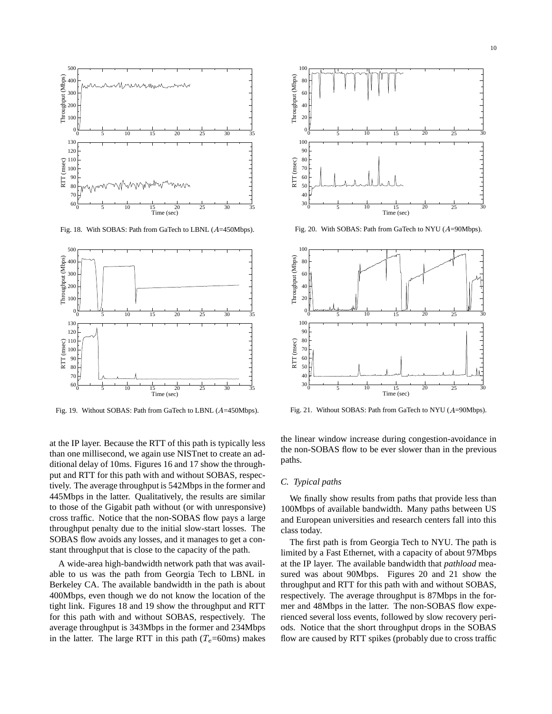

Fig. 18. With SOBAS: Path from GaTech to LBNL (A=450Mbps).



Fig. 19. Without SOBAS: Path from GaTech to LBNL (A=450Mbps).

at the IP layer. Because the RTT of this path is typically less than one millisecond, we again use NISTnet to create an additional delay of 10ms. Figures 16 and 17 show the throughput and RTT for this path with and without SOBAS, respectively. The average throughput is 542Mbps in the former and 445Mbps in the latter. Qualitatively, the results are similar to those of the Gigabit path without (or with unresponsive) cross traffic. Notice that the non-SOBAS flow pays a large throughput penalty due to the initial slow-start losses. The SOBAS flow avoids any losses, and it manages to get a constant throughput that is close to the capacity of the path.

A wide-area high-bandwidth network path that was available to us was the path from Georgia Tech to LBNL in Berkeley CA. The available bandwidth in the path is about 400Mbps, even though we do not know the location of the tight link. Figures 18 and 19 show the throughput and RTT for this path with and without SOBAS, respectively. The average throughput is 343Mbps in the former and 234Mbps in the latter. The large RTT in this path  $(T_e=60 \text{ms})$  makes



Fig. 20. With SOBAS: Path from GaTech to NYU (A=90Mbps).



Fig. 21. Without SOBAS: Path from GaTech to NYU (A=90Mbps).

the linear window increase during congestion-avoidance in the non-SOBAS flow to be ever slower than in the previous paths.

## *C. Typical paths*

We finally show results from paths that provide less than 100Mbps of available bandwidth. Many paths between US and European universities and research centers fall into this class today.

The first path is from Georgia Tech to NYU. The path is limited by a Fast Ethernet, with a capacity of about 97Mbps at the IP layer. The available bandwidth that *pathload* measured was about 90Mbps. Figures 20 and 21 show the throughput and RTT for this path with and without SOBAS, respectively. The average throughput is 87Mbps in the former and 48Mbps in the latter. The non-SOBAS flow experienced several loss events, followed by slow recovery periods. Notice that the short throughput drops in the SOBAS flow are caused by RTT spikes (probably due to cross traffic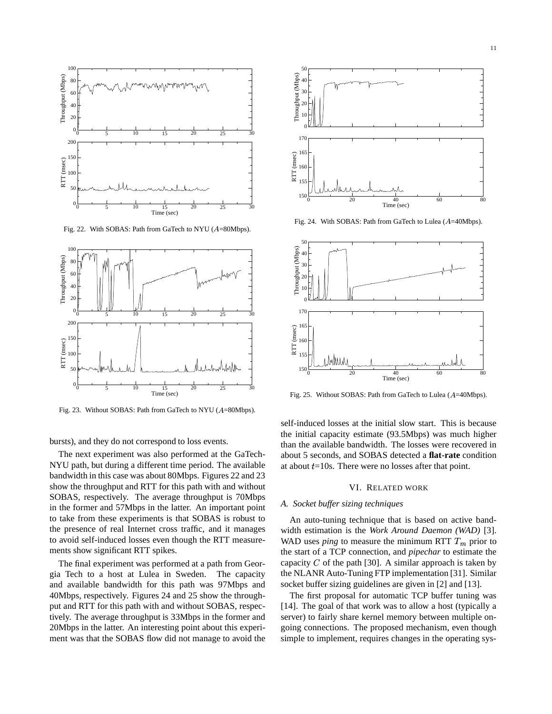

Fig. 22. With SOBAS: Path from GaTech to NYU (A=80Mbps).



Fig. 23. Without SOBAS: Path from GaTech to NYU (A=80Mbps).

bursts), and they do not correspond to loss events.

The next experiment was also performed at the GaTech-NYU path, but during a different time period. The available bandwidth in this case was about 80Mbps. Figures 22 and 23 show the throughput and RTT for this path with and without SOBAS, respectively. The average throughput is 70Mbps in the former and 57Mbps in the latter. An important point to take from these experiments is that SOBAS is robust to the presence of real Internet cross traffic, and it manages to avoid self-induced losses even though the RTT measurements show significant RTT spikes.

The final experiment was performed at a path from Georgia Tech to a host at Lulea in Sweden. The capacity and available bandwidth for this path was 97Mbps and 40Mbps, respectively. Figures 24 and 25 show the throughput and RTT for this path with and without SOBAS, respectively. The average throughput is 33Mbps in the former and 20Mbps in the latter. An interesting point about this experiment was that the SOBAS flow did not manage to avoid the



Fig. 24. With SOBAS: Path from GaTech to Lulea (A=40Mbps).



Fig. 25. Without SOBAS: Path from GaTech to Lulea (A=40Mbps).

self-induced losses at the initial slow start. This is because the initial capacity estimate (93.5Mbps) was much higher than the available bandwidth. The losses were recovered in about 5 seconds, and SOBAS detected a **flat-rate** condition at about  $t=10s$ . There were no losses after that point.

#### VI. RELATED WORK

### *A. Socket buffer sizing techniques*

An auto-tuning technique that is based on active bandwidth estimation is the *Work Around Daemon (WAD)* [3]. WAD uses *ping* to measure the minimum RTT  $T_m$  prior to the start of a TCP connection, and *pipechar* to estimate the capacity  $C$  of the path [30]. A similar approach is taken by the NLANR Auto-Tuning FTP implementation [31]. Similar socket buffer sizing guidelines are given in [2] and [13].

The first proposal for automatic TCP buffer tuning was [14]. The goal of that work was to allow a host (typically a server) to fairly share kernel memory between multiple ongoing connections. The proposed mechanism, even though simple to implement, requires changes in the operating sys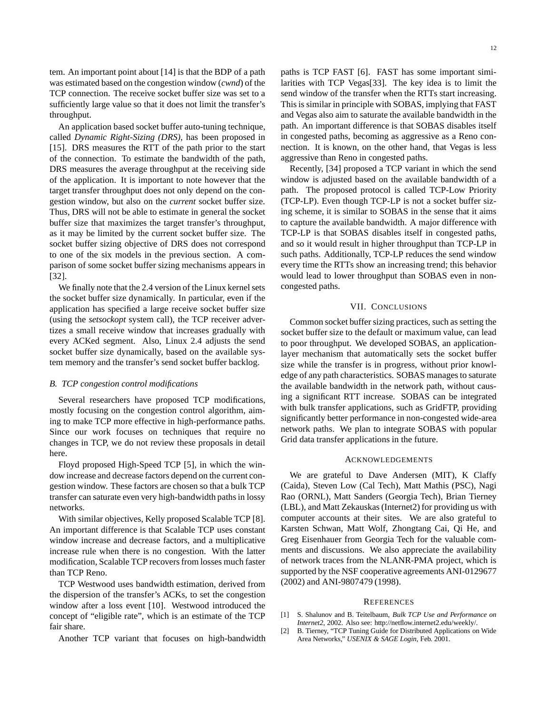tem. An important point about [14] is that the BDP of a path was estimated based on the congestion window (*cwnd*) of the TCP connection. The receive socket buffer size was set to a sufficiently large value so that it does not limit the transfer's throughput.

An application based socket buffer auto-tuning technique, called *Dynamic Right-Sizing (DRS)*, has been proposed in [15]. DRS measures the RTT of the path prior to the start of the connection. To estimate the bandwidth of the path, DRS measures the average throughput at the receiving side of the application. It is important to note however that the target transfer throughput does not only depend on the congestion window, but also on the *current* socket buffer size. Thus, DRS will not be able to estimate in general the socket buffer size that maximizes the target transfer's throughput, as it may be limited by the current socket buffer size. The socket buffer sizing objective of DRS does not correspond to one of the six models in the previous section. A comparison of some socket buffer sizing mechanisms appears in [32].

We finally note that the 2.4 version of the Linux kernel sets the socket buffer size dynamically. In particular, even if the application has specified a large receive socket buffer size (using the *setsockopt* system call), the TCP receiver advertizes a small receive window that increases gradually with every ACKed segment. Also, Linux 2.4 adjusts the send socket buffer size dynamically, based on the available system memory and the transfer's send socket buffer backlog.

## *B. TCP congestion control modifications*

Several researchers have proposed TCP modifications, mostly focusing on the congestion control algorithm, aiming to make TCP more effective in high-performance paths. Since our work focuses on techniques that require no changes in TCP, we do not review these proposals in detail here.

Floyd proposed High-Speed TCP [5], in which the window increase and decrease factors depend on the current congestion window. These factors are chosen so that a bulk TCP transfer can saturate even very high-bandwidth pathsin lossy networks.

With similar objectives, Kelly proposed Scalable TCP [8]. An important difference is that Scalable TCP uses constant window increase and decrease factors, and a multiplicative increase rule when there is no congestion. With the latter modification, Scalable TCP recovers from losses much faster than TCP Reno.

TCP Westwood uses bandwidth estimation, derived from the dispersion of the transfer's ACKs, to set the congestion window after a loss event [10]. Westwood introduced the concept of "eligible rate", which is an estimate of the TCP fair share.

Another TCP variant that focuses on high-bandwidth

paths is TCP FAST [6]. FAST has some important similarities with TCP Vegas[33]. The key idea is to limit the send window of the transfer when the RTTs start increasing. This is similar in principle with SOBAS, implying that FAST and Vegas also aim to saturate the available bandwidth in the path. An important difference is that SOBAS disables itself in congested paths, becoming as aggressive as a Reno connection. It is known, on the other hand, that Vegas is less aggressive than Reno in congested paths.

Recently, [34] proposed a TCP variant in which the send window is adjusted based on the available bandwidth of a path. The proposed protocol is called TCP-Low Priority (TCP-LP). Even though TCP-LP is not a socket buffer sizing scheme, it is similar to SOBAS in the sense that it aims to capture the available bandwidth. A major difference with TCP-LP is that SOBAS disables itself in congested paths, and so it would result in higher throughput than TCP-LP in such paths. Additionally, TCP-LP reduces the send window every time the RTTs show an increasing trend; this behavior would lead to lower throughput than SOBAS even in noncongested paths.

## VII. CONCLUSIONS

Common socket buffer sizing practices, such as setting the socket buffer size to the default or maximum value, can lead to poor throughput. We developed SOBAS, an applicationlayer mechanism that automatically sets the socket buffer size while the transfer is in progress, without prior knowledge of any path characteristics. SOBAS manages to saturate the available bandwidth in the network path, without causing a significant RTT increase. SOBAS can be integrated with bulk transfer applications, such as GridFTP, providing significantly better performance in non-congested wide-area network paths. We plan to integrate SOBAS with popular Grid data transfer applications in the future.

## ACKNOWLEDGEMENTS

We are grateful to Dave Andersen (MIT), K Claffy (Caida), Steven Low (Cal Tech), Matt Mathis (PSC), Nagi Rao (ORNL), Matt Sanders (Georgia Tech), Brian Tierney (LBL), and Matt Zekauskas (Internet2) for providing us with computer accounts at their sites. We are also grateful to Karsten Schwan, Matt Wolf, Zhongtang Cai, Qi He, and Greg Eisenhauer from Georgia Tech for the valuable comments and discussions. We also appreciate the availability of network traces from the NLANR-PMA project, which is supported by the NSF cooperative agreements ANI-0129677 (2002) and ANI-9807479 (1998).

#### **REFERENCES**

- [1] S. Shalunov and B. Teitelbaum, *Bulk TCP Use and Performance on Internet2*, 2002. Also see: http://netflow.internet2.edu/weekly/.
- [2] B. Tierney, "TCP Tuning Guide for Distributed Applications on Wide Area Networks," *USENIX & SAGE Login*, Feb. 2001.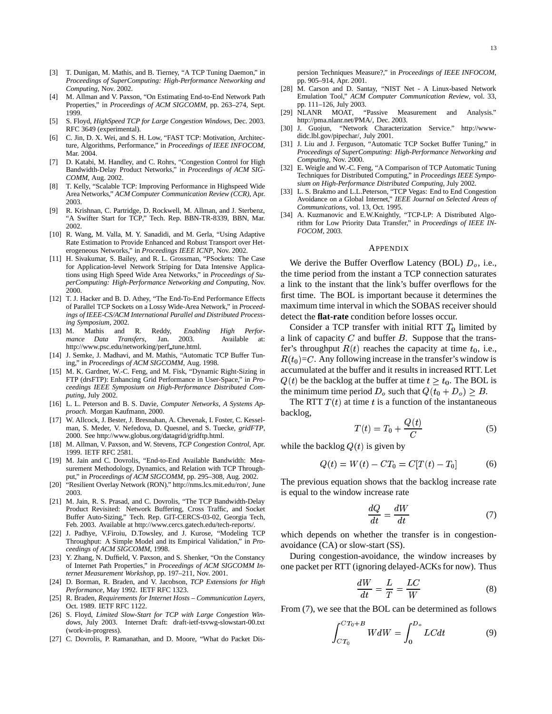- [3] T. Dunigan, M. Mathis, and B. Tierney, "A TCP Tuning Daemon," in *Proceedings of SuperComputing: High-Performance Networking and Computing*, Nov. 2002.
- [4] M. Allman and V. Paxson, "On Estimating End-to-End Network Path Properties," in *Proceedings of ACM SIGCOMM*, pp. 263–274, Sept. 1999.
- [5] S. Floyd, *HighSpeed TCP for Large Congestion Windows*, Dec. 2003. RFC 3649 (experimental).
- [6] C. Jin, D. X. Wei, and S. H. Low, "FAST TCP: Motivation, Architecture, Algorithms, Performance," in *Proceedings of IEEE INFOCOM*, Mar. 2004.
- [7] D. Katabi, M. Handley, and C. Rohrs, "Congestion Control for High Bandwidth-Delay Product Networks," in *Proceedings of ACM SIG-COMM*, Aug. 2002.
- [8] T. Kelly, "Scalable TCP: Improving Performance in Highspeed Wide Area Networks," *ACM Computer Communication Review (CCR)*, Apr. 2003.
- [9] R. Krishnan, C. Partridge, D. Rockwell, M. Allman, and J. Sterbenz, "A Swifter Start for TCP," Tech. Rep. BBN-TR-8339, BBN, Mar. 2002.
- [10] R. Wang, M. Valla, M. Y. Sanadidi, and M. Gerla, "Using Adaptive Rate Estimation to Provide Enhanced and Robust Transport over Heterogeneous Networks," in *Proceedings IEEE ICNP*, Nov. 2002.
- [11] H. Sivakumar, S. Bailey, and R. L. Grossman, "PSockets: The Case for Application-level Network Striping for Data Intensive Applications using High Speed Wide Area Networks," in *Proceedings of SuperComputing: High-Performance Networking and Computing*, Nov. 2000.
- [12] T. J. Hacker and B. D. Athey, "The End-To-End Performance Effects of Parallel TCP Sockets on a Lossy Wide-Area Network," in *Proceedings of IEEE-CS/ACM International Parallel and Distributed Processing Symposium*, 2002.
- [13] M. Mathis and R. Reddy, *Enabling High Performance Data Transfers*, Jan. 2003. Available at: http://www.psc.edu/networking/perf\_tune.html.
- [14] J. Semke, J. Madhavi, and M. Mathis, "Automatic TCP Buffer Tuning," in *Proceedings of ACM SIGCOMM*, Aug. 1998.
- [15] M. K. Gardner, W.-C. Feng, and M. Fisk, "Dynamic Right-Sizing in FTP (drsFTP): Enhancing Grid Performance in User-Space," in *Proceedings IEEE Symposium on High-Performance Distributed Computing*, July 2002.
- [16] L. L. Peterson and B. S. Davie, *Computer Networks, A Systems Approach*. Morgan Kaufmann, 2000.
- [17] W. Allcock, J. Bester, J. Bresnahan, A. Chevenak, I. Foster, C. Kesselman, S. Meder, V. Nefedova, D. Quesnel, and S. Tuecke, *gridFTP*, 2000. See http://www.globus.org/datagrid/gridftp.html.
- [18] M. Allman, V. Paxson, and W. Stevens, *TCP Congestion Control*, Apr. 1999. IETF RFC 2581.
- [19] M. Jain and C. Dovrolis, "End-to-End Available Bandwidth: Measurement Methodology, Dynamics, and Relation with TCP Throughput," in *Proceedings of ACM SIGCOMM*, pp. 295–308, Aug. 2002.
- [20] "Resilient Overlay Network (RON)." http://nms.lcs.mit.edu/ron/, June 2003.
- [21] M. Jain, R. S. Prasad, and C. Dovrolis, "The TCP Bandwidth-Delay Product Revisited: Network Buffering, Cross Traffic, and Socket Buffer Auto-Sizing," Tech. Rep. GIT-CERCS-03-02, Georgia Tech, Feb. 2003. Available at http://www.cercs.gatech.edu/tech-reports/.
- [22] J. Padhye, V.Firoiu, D.Towsley, and J. Kurose, "Modeling TCP Throughput: A Simple Model and its Empirical Validation," in *Proceedings of ACM SIGCOMM*, 1998.
- [23] Y. Zhang, N. Duffield, V. Paxson, and S. Shenker, "On the Constancy of Internet Path Properties," in *Proceedings of ACM SIGCOMM Internet Measurement Workshop*, pp. 197–211, Nov. 2001.
- [24] D. Borman, R. Braden, and V. Jacobson, *TCP Extensions for High Performance*, May 1992. IETF RFC 1323.
- [25] R. Braden, *Requirements for Internet Hosts – Communication Layers*, Oct. 1989. IETF RFC 1122.
- [26] S. Floyd, *Limited Slow-Start for TCP with Large Congestion Windows*, July 2003. Internet Draft: draft-ietf-tsvwg-slowstart-00.txt (work-in-progress).
- [27] C. Dovrolis, P. Ramanathan, and D. Moore, "What do Packet Dis-

persion Techniques Measure?," in *Proceedings of IEEE INFOCOM*, pp. 905–914, Apr. 2001.

- [28] M. Carson and D. Santay, "NIST Net A Linux-based Network Emulation Tool," *ACM Computer Communication Review*, vol. 33, pp. 111–126, July 2003.<br>NLANR MOAT. "Passive
- [29] NLANR MOAT, "Passive Measurement and Analysis." http://pma.nlanr.net/PMA/, Dec. 2003.
- [30] J. Guojun, "Network Characterization Service." http://wwwdidc.lbl.gov/pipechar/, July 2001.
- [31] J. Liu and J. Ferguson, "Automatic TCP Socket Buffer Tuning," in *Proceedings of SuperComputing: High-Performance Networking and Computing*, Nov. 2000.
- [32] E. Weigle and W.-C. Feng, "A Comparison of TCP Automatic Tuning Techniques for Distributed Computing," in *Proceedings IEEE Symposium on High-Performance Distributed Computing*, July 2002.
- [33] L. S. Brakmo and L.L.Peterson, "TCP Vegas: End to End Congestion Avoidance on a Global Internet," *IEEE Journal on Selected Areas of Communications*, vol. 13, Oct. 1995.
- [34] A. Kuzmanovic and E.W.Knightly, "TCP-LP: A Distributed Algorithm for Low Priority Data Transfer," in *Proceedings of IEEE IN-FOCOM*, 2003.

#### APPENDIX

We derive the Buffer Overflow Latency (BOL)  $D<sub>o</sub>$ , i.e., the time period from the instant a TCP connection saturates a link to the instant that the link's buffer overflows for the first time. The BOL is important because it determines the maximum time interval in which the SOBAS receiver should detect the **flat-rate** condition before losses occur.

Consider a TCP transfer with initial RTT  $T_0$  limited by a link of capacity  $C$  and buffer  $B$ . Suppose that the transfer's throughput  $R(t)$  reaches the capacity at time  $t_0$ , i.e.,  $R(t_0)=C$ . Any following increase in the transfer's window is accumulated at the buffer and it results in increased RTT. Let  $Q(t)$  be the backlog at the buffer at time  $t \geq t_0$ . The BOL is the minimum time period  $D_o$  such that  $Q(t_0 + D_o) \geq B$ .

The RTT  $T(t)$  at time t is a function of the instantaneous backlog,

$$
T(t) = T_0 + \frac{Q(t)}{C}
$$
 (5)

while the backlog  $Q(t)$  is given by

$$
Q(t) = W(t) - CT_0 = C[T(t) - T_0]
$$
 (6)

The previous equation shows that the backlog increase rate is equal to the window increase rate

$$
\frac{dQ}{dt} = \frac{dW}{dt} \tag{7}
$$

which depends on whether the transfer is in congestionavoidance (CA) or slow-start (SS).

During congestion-avoidance, the window increases by one packet per RTT (ignoring delayed-ACKs for now). Thus

$$
\frac{dW}{dt} = \frac{L}{T} = \frac{LC}{W} \tag{8}
$$

From (7), we see that the BOL can be determined as follows

$$
\int_{CT_0}^{CT_0+B} W dW = \int_0^{D_o} LC dt \tag{9}
$$